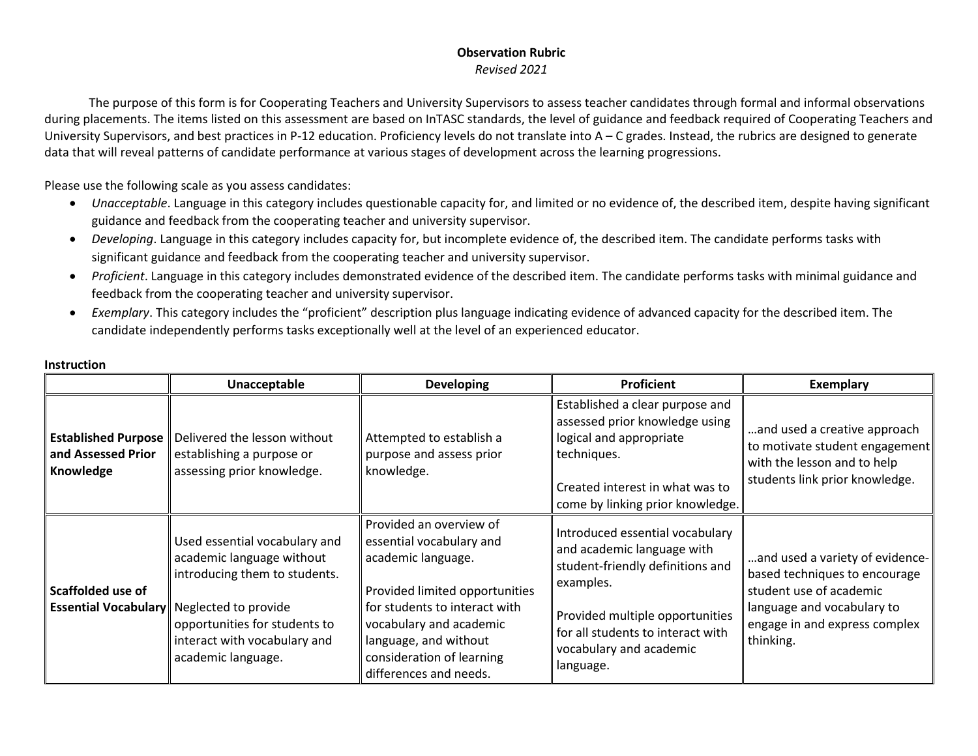#### **Observation Rubric** *Revised 2021*

The purpose of this form is for Cooperating Teachers and University Supervisors to assess teacher candidates through formal and informal observations during placements. The items listed on this assessment are based on InTASC standards, the level of guidance and feedback required of Cooperating Teachers and University Supervisors, and best practices in P-12 education. Proficiency levels do not translate into  $A - C$  grades. Instead, the rubrics are designed to generate data that will reveal patterns of candidate performance at various stages of development across the learning progressions.

Please use the following scale as you assess candidates:

- *Unacceptable*. Language in this category includes questionable capacity for, and limited or no evidence of, the described item, despite having significant guidance and feedback from the cooperating teacher and university supervisor.
- *Developing*. Language in this category includes capacity for, but incomplete evidence of, the described item. The candidate performs tasks with significant guidance and feedback from the cooperating teacher and university supervisor.
- *Proficient*. Language in this category includes demonstrated evidence of the described item. The candidate performs tasks with minimal guidance and feedback from the cooperating teacher and university supervisor.
- *Exemplary*. This category includes the "proficient" description plus language indicating evidence of advanced capacity for the described item. The candidate independently performs tasks exceptionally well at the level of an experienced educator.

|                                                               | Unacceptable                                                                                                                                                                                               | <b>Developing</b>                                                                                                                                                                                                                                       | Proficient                                                                                                                                                                                                                     | <b>Exemplary</b>                                                                                                                                                        |
|---------------------------------------------------------------|------------------------------------------------------------------------------------------------------------------------------------------------------------------------------------------------------------|---------------------------------------------------------------------------------------------------------------------------------------------------------------------------------------------------------------------------------------------------------|--------------------------------------------------------------------------------------------------------------------------------------------------------------------------------------------------------------------------------|-------------------------------------------------------------------------------------------------------------------------------------------------------------------------|
| <b>Established Purpose</b><br>and Assessed Prior<br>Knowledge | Delivered the lesson without<br>establishing a purpose or<br>assessing prior knowledge.                                                                                                                    | Attempted to establish a<br>purpose and assess prior<br>knowledge.                                                                                                                                                                                      | Established a clear purpose and<br>assessed prior knowledge using<br>logical and appropriate<br>techniques.<br>Created interest in what was to<br>come by linking prior knowledge.                                             | and used a creative approach<br>to motivate student engagement<br>with the lesson and to help<br>students link prior knowledge.                                         |
| Scaffolded use of<br><b>Essential Vocabulary</b>              | Used essential vocabulary and<br>academic language without<br>introducing them to students.<br>Neglected to provide<br>opportunities for students to<br>interact with vocabulary and<br>academic language. | Provided an overview of<br>essential vocabulary and<br>academic language.<br>Provided limited opportunities<br>for students to interact with<br>vocabulary and academic<br>language, and without<br>consideration of learning<br>differences and needs. | Introduced essential vocabulary<br>and academic language with<br>student-friendly definitions and<br>examples.<br>Provided multiple opportunities<br>for all students to interact with<br>vocabulary and academic<br>language. | and used a variety of evidence-<br>based techniques to encourage<br>student use of academic<br>language and vocabulary to<br>engage in and express complex<br>thinking. |

#### **Instruction**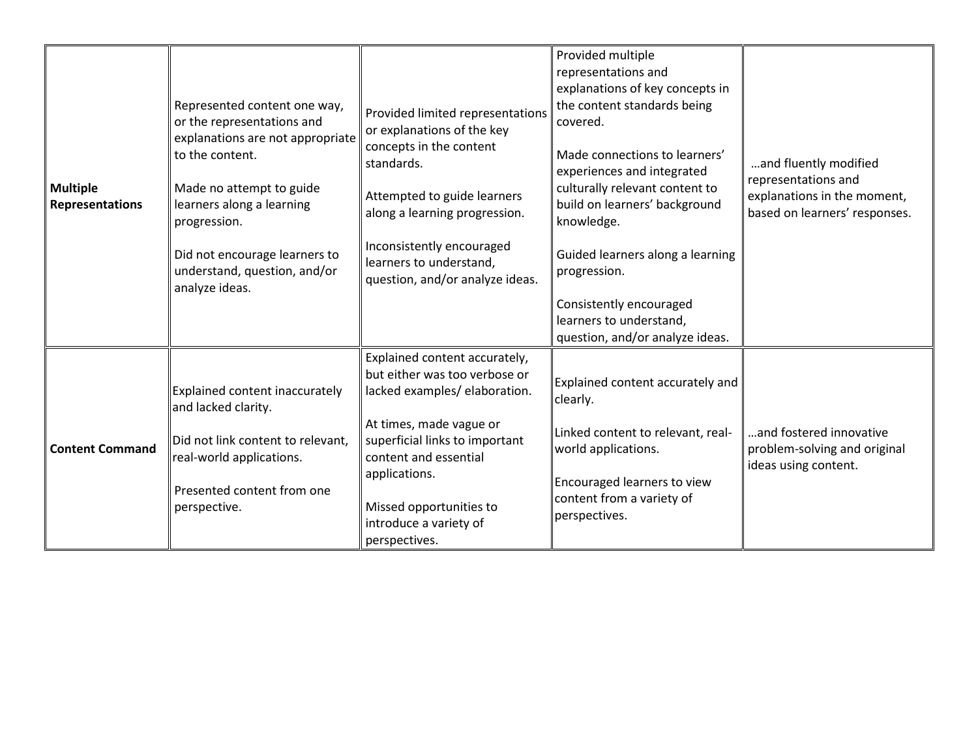| <b>Multiple</b><br>Representations | Represented content one way,<br>or the representations and<br>explanations are not appropriate<br>to the content.<br>Made no attempt to guide<br>learners along a learning<br>progression.<br>Did not encourage learners to<br>understand, question, and/or<br>analyze ideas. | Provided limited representations<br>or explanations of the key<br>concepts in the content<br>standards.<br>Attempted to guide learners<br>along a learning progression.<br>Inconsistently encouraged<br>learners to understand,<br>question, and/or analyze ideas.           | Provided multiple<br>representations and<br>explanations of key concepts in<br>the content standards being<br>covered.<br>Made connections to learners'<br>experiences and integrated<br>culturally relevant content to<br>build on learners' background<br>knowledge.<br>Guided learners along a learning<br>progression.<br>Consistently encouraged<br>learners to understand,<br>question, and/or analyze ideas. | and fluently modified<br>representations and<br>explanations in the moment,<br>based on learners' responses. |
|------------------------------------|-------------------------------------------------------------------------------------------------------------------------------------------------------------------------------------------------------------------------------------------------------------------------------|------------------------------------------------------------------------------------------------------------------------------------------------------------------------------------------------------------------------------------------------------------------------------|---------------------------------------------------------------------------------------------------------------------------------------------------------------------------------------------------------------------------------------------------------------------------------------------------------------------------------------------------------------------------------------------------------------------|--------------------------------------------------------------------------------------------------------------|
| <b>Content Command</b>             | Explained content inaccurately<br>and lacked clarity.<br>Did not link content to relevant,<br>real-world applications.<br>Presented content from one<br>perspective.                                                                                                          | Explained content accurately,<br>but either was too verbose or<br>lacked examples/ elaboration.<br>At times, made vague or<br>superficial links to important<br>content and essential<br>applications.<br>Missed opportunities to<br>introduce a variety of<br>perspectives. | Explained content accurately and<br>clearly.<br>Linked content to relevant, real-<br>world applications.<br>Encouraged learners to view<br>content from a variety of<br>perspectives.                                                                                                                                                                                                                               | and fostered innovative<br>problem-solving and original<br>ideas using content.                              |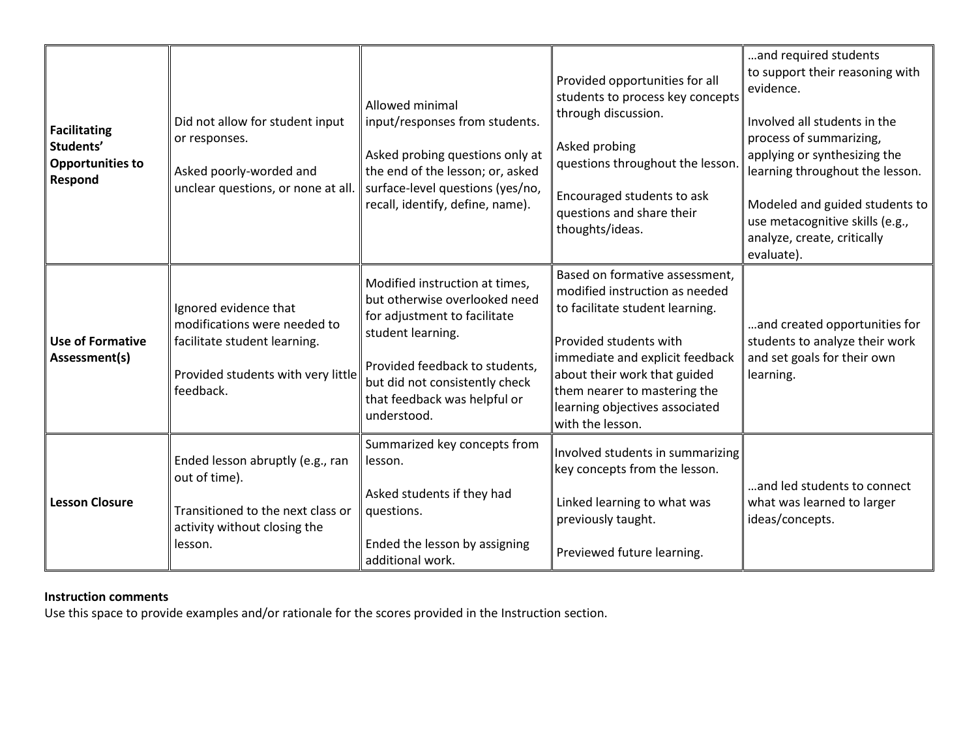| <b>Facilitating</b><br>Students'<br><b>Opportunities to</b><br>Respond | Did not allow for student input<br>or responses.<br>Asked poorly-worded and<br>unclear questions, or none at all.                        | <b>Allowed minimal</b><br>input/responses from students.<br>Asked probing questions only at<br>the end of the lesson; or, asked<br>surface-level questions (yes/no,<br>recall, identify, define, name).                                 | Provided opportunities for all<br>students to process key concepts<br>through discussion.<br>Asked probing<br>questions throughout the lesson.<br>Encouraged students to ask<br>questions and share their<br>thoughts/ideas.                                                           | and required students<br>to support their reasoning with<br>evidence.<br>Involved all students in the<br>process of summarizing,<br>applying or synthesizing the<br>learning throughout the lesson.<br>Modeled and guided students to<br>use metacognitive skills (e.g.,<br>analyze, create, critically<br>evaluate). |
|------------------------------------------------------------------------|------------------------------------------------------------------------------------------------------------------------------------------|-----------------------------------------------------------------------------------------------------------------------------------------------------------------------------------------------------------------------------------------|----------------------------------------------------------------------------------------------------------------------------------------------------------------------------------------------------------------------------------------------------------------------------------------|-----------------------------------------------------------------------------------------------------------------------------------------------------------------------------------------------------------------------------------------------------------------------------------------------------------------------|
| <b>Use of Formative</b><br>Assessment(s)                               | Ignored evidence that<br>modifications were needed to<br>facilitate student learning.<br>Provided students with very little<br>feedback. | Modified instruction at times,<br>but otherwise overlooked need<br>for adjustment to facilitate<br>student learning.<br>Provided feedback to students,<br>but did not consistently check<br>that feedback was helpful or<br>understood. | Based on formative assessment,<br>modified instruction as needed<br>to facilitate student learning.<br>Provided students with<br>immediate and explicit feedback<br>about their work that guided<br>them nearer to mastering the<br>learning objectives associated<br>with the lesson. | and created opportunities for<br>students to analyze their work<br>and set goals for their own<br>learning.                                                                                                                                                                                                           |
| <b>Lesson Closure</b>                                                  | Ended lesson abruptly (e.g., ran<br>out of time).<br>Transitioned to the next class or<br>activity without closing the<br>lesson.        | Summarized key concepts from<br>lesson.<br>Asked students if they had<br>questions.<br>Ended the lesson by assigning<br>additional work.                                                                                                | Involved students in summarizing<br>key concepts from the lesson.<br>Linked learning to what was<br>previously taught.<br>Previewed future learning.                                                                                                                                   | and led students to connect<br>what was learned to larger<br>ideas/concepts.                                                                                                                                                                                                                                          |

# **Instruction comments**

Use this space to provide examples and/or rationale for the scores provided in the Instruction section.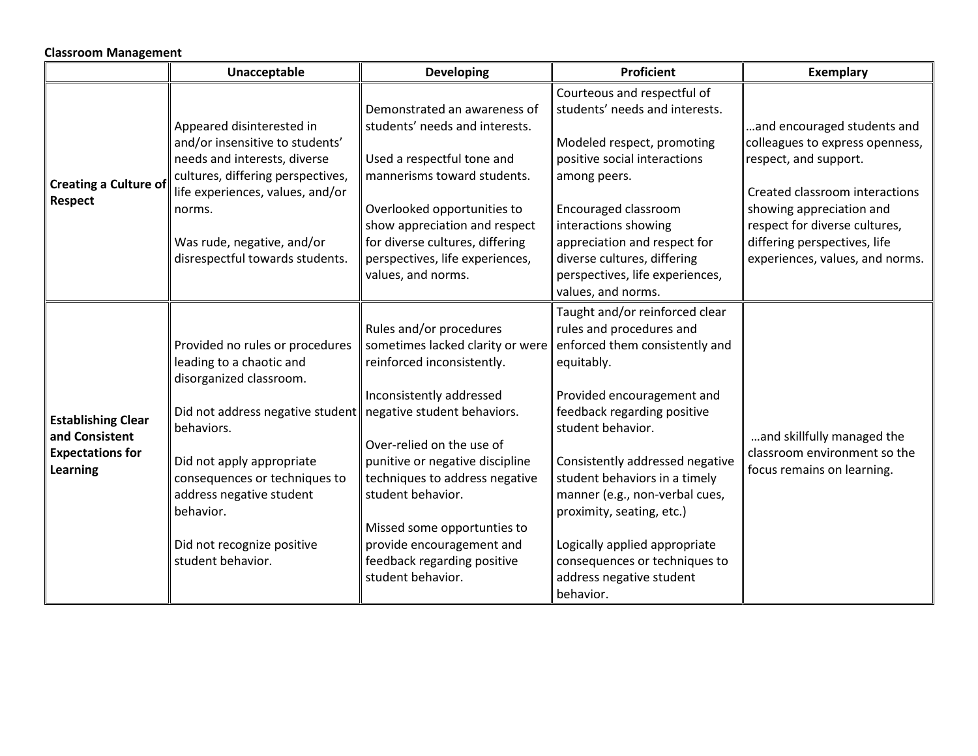## **Classroom Management**

|                                                                                    | Unacceptable                                                                                                                                                                                                                                                                                                                   | <b>Developing</b>                                                                                                                                                                                                                                                                                                                                            | <b>Proficient</b>                                                                                                                                                                                                                                                                                                                                                                                                                          | <b>Exemplary</b>                                                                                                                                                                                                                                          |
|------------------------------------------------------------------------------------|--------------------------------------------------------------------------------------------------------------------------------------------------------------------------------------------------------------------------------------------------------------------------------------------------------------------------------|--------------------------------------------------------------------------------------------------------------------------------------------------------------------------------------------------------------------------------------------------------------------------------------------------------------------------------------------------------------|--------------------------------------------------------------------------------------------------------------------------------------------------------------------------------------------------------------------------------------------------------------------------------------------------------------------------------------------------------------------------------------------------------------------------------------------|-----------------------------------------------------------------------------------------------------------------------------------------------------------------------------------------------------------------------------------------------------------|
| <b>Creating a Culture of</b><br>Respect                                            | Appeared disinterested in<br>and/or insensitive to students'<br>needs and interests, diverse<br>cultures, differing perspectives,<br>life experiences, values, and/or<br>norms.<br>Was rude, negative, and/or<br>disrespectful towards students.                                                                               | Demonstrated an awareness of<br>students' needs and interests.<br>Used a respectful tone and<br>mannerisms toward students.<br>Overlooked opportunities to<br>show appreciation and respect<br>for diverse cultures, differing<br>perspectives, life experiences,<br>values, and norms.                                                                      | Courteous and respectful of<br>students' needs and interests.<br>Modeled respect, promoting<br>positive social interactions<br>among peers.<br>Encouraged classroom<br>interactions showing<br>appreciation and respect for<br>diverse cultures, differing<br>perspectives, life experiences,<br>values, and norms.                                                                                                                        | and encouraged students and<br>colleagues to express openness,<br>respect, and support.<br>Created classroom interactions<br>showing appreciation and<br>respect for diverse cultures,<br>differing perspectives, life<br>experiences, values, and norms. |
| <b>Establishing Clear</b><br>and Consistent<br><b>Expectations for</b><br>Learning | Provided no rules or procedures<br>leading to a chaotic and<br>disorganized classroom.<br>Did not address negative student negative student behaviors.<br>behaviors.<br>Did not apply appropriate<br>consequences or techniques to<br>address negative student<br>behavior.<br>Did not recognize positive<br>student behavior. | Rules and/or procedures<br>sometimes lacked clarity or were<br>reinforced inconsistently.<br>Inconsistently addressed<br>Over-relied on the use of<br>punitive or negative discipline<br>techniques to address negative<br>student behavior.<br>Missed some opportunties to<br>provide encouragement and<br>feedback regarding positive<br>student behavior. | Taught and/or reinforced clear<br>rules and procedures and<br>enforced them consistently and<br>equitably.<br>Provided encouragement and<br>feedback regarding positive<br>student behavior.<br>Consistently addressed negative<br>student behaviors in a timely<br>manner (e.g., non-verbal cues,<br>proximity, seating, etc.)<br>Logically applied appropriate<br>consequences or techniques to<br>address negative student<br>behavior. | and skillfully managed the<br>classroom environment so the<br>focus remains on learning.                                                                                                                                                                  |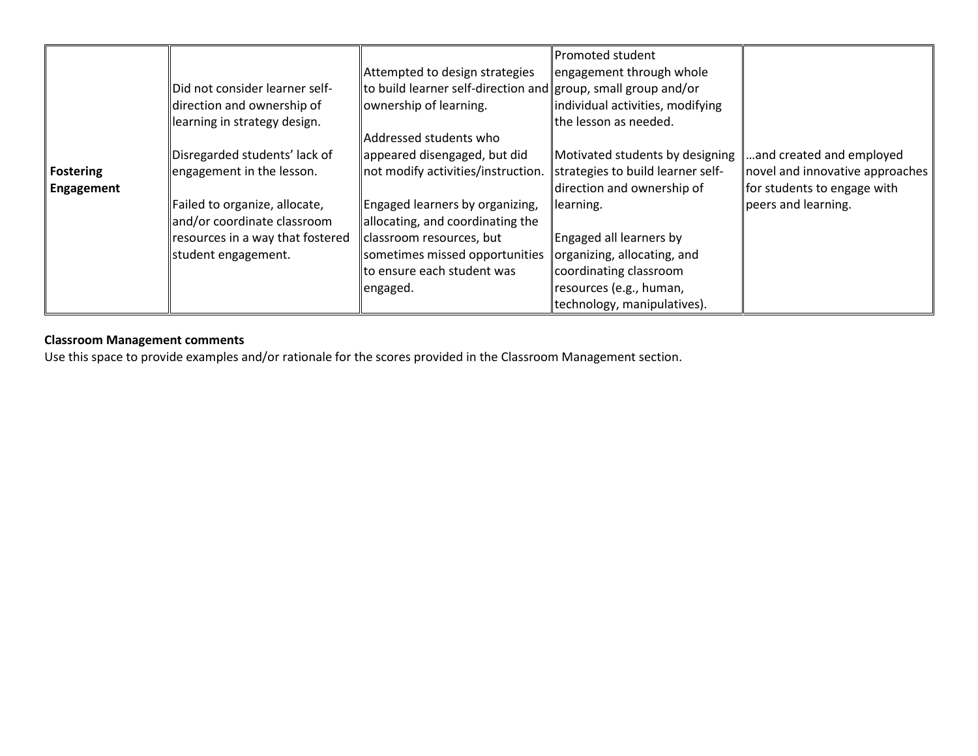|                  |                                  |                                                               | <b>Promoted student</b>           |                                 |
|------------------|----------------------------------|---------------------------------------------------------------|-----------------------------------|---------------------------------|
|                  |                                  | Attempted to design strategies                                | engagement through whole          |                                 |
|                  | Did not consider learner self-   | to build learner self-direction and group, small group and/or |                                   |                                 |
|                  | direction and ownership of       | ownership of learning.                                        | individual activities, modifying  |                                 |
|                  | learning in strategy design.     |                                                               | the lesson as needed.             |                                 |
|                  |                                  | Addressed students who                                        |                                   |                                 |
|                  | Disregarded students' lack of    | appeared disengaged, but did                                  | Motivated students by designing   | and created and employed        |
| <b>Fostering</b> | engagement in the lesson.        | not modify activities/instruction.                            | strategies to build learner self- | novel and innovative approaches |
| Engagement       |                                  |                                                               | direction and ownership of        | for students to engage with     |
|                  | Failed to organize, allocate,    | Engaged learners by organizing,                               | learning.                         | peers and learning.             |
|                  | and/or coordinate classroom      | allocating, and coordinating the                              |                                   |                                 |
|                  | resources in a way that fostered | classroom resources, but                                      | Engaged all learners by           |                                 |
|                  | student engagement.              | sometimes missed opportunities                                | organizing, allocating, and       |                                 |
|                  |                                  | lto ensure each student was                                   | coordinating classroom            |                                 |
|                  |                                  | engaged.                                                      | resources (e.g., human,           |                                 |
|                  |                                  |                                                               | technology, manipulatives).       |                                 |

## **Classroom Management comments**

Use this space to provide examples and/or rationale for the scores provided in the Classroom Management section.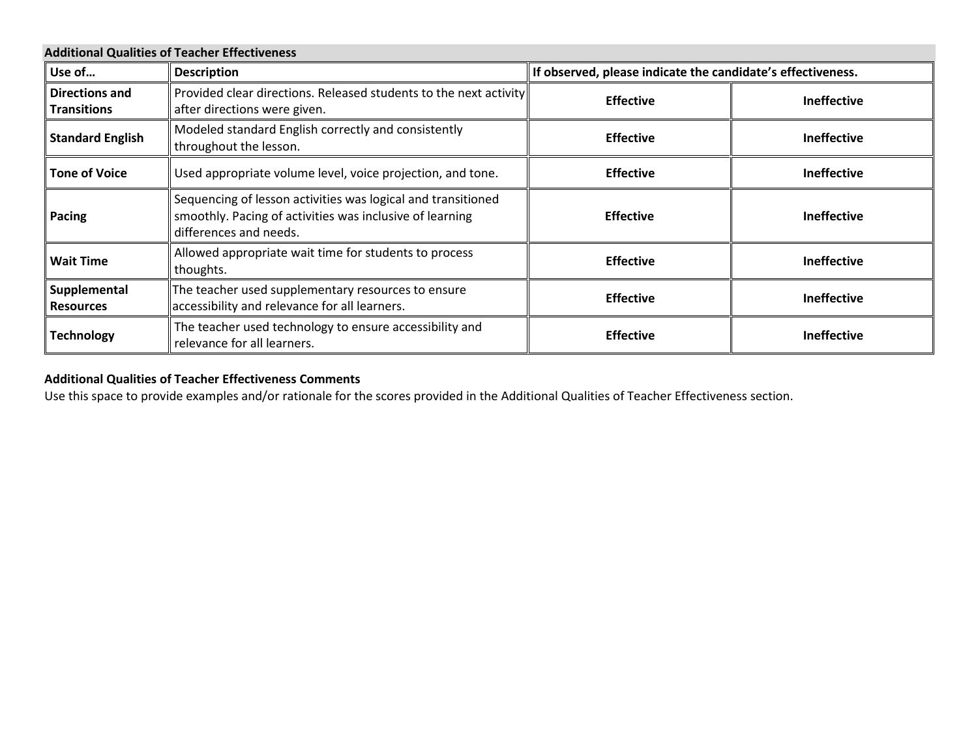| <b>Additional Qualities of Teacher Effectiveness</b> |                                                                                                                                                    |                                                             |                    |  |
|------------------------------------------------------|----------------------------------------------------------------------------------------------------------------------------------------------------|-------------------------------------------------------------|--------------------|--|
| Use of                                               | <b>Description</b>                                                                                                                                 | If observed, please indicate the candidate's effectiveness. |                    |  |
| Directions and<br><b>Transitions</b>                 | Provided clear directions. Released students to the next activity<br>after directions were given.                                                  | <b>Effective</b><br><b>Ineffective</b>                      |                    |  |
| <b>Standard English</b>                              | Modeled standard English correctly and consistently<br>throughout the lesson.                                                                      | <b>Effective</b><br><b>Ineffective</b>                      |                    |  |
| <b>Tone of Voice</b>                                 | Used appropriate volume level, voice projection, and tone.                                                                                         | <b>Effective</b>                                            | <b>Ineffective</b> |  |
| Pacing                                               | Sequencing of lesson activities was logical and transitioned<br>smoothly. Pacing of activities was inclusive of learning<br>differences and needs. | <b>Effective</b>                                            | <b>Ineffective</b> |  |
| <b>Wait Time</b>                                     | Allowed appropriate wait time for students to process<br>thoughts.                                                                                 | <b>Effective</b>                                            | <b>Ineffective</b> |  |
| Supplemental<br><b>Resources</b>                     | The teacher used supplementary resources to ensure<br>accessibility and relevance for all learners.                                                | <b>Effective</b>                                            | <b>Ineffective</b> |  |
| <b>Technology</b>                                    | The teacher used technology to ensure accessibility and<br>relevance for all learners.                                                             | <b>Effective</b>                                            | <b>Ineffective</b> |  |

# **Additional Qualities of Teacher Effectiveness Comments**

Use this space to provide examples and/or rationale for the scores provided in the Additional Qualities of Teacher Effectiveness section.